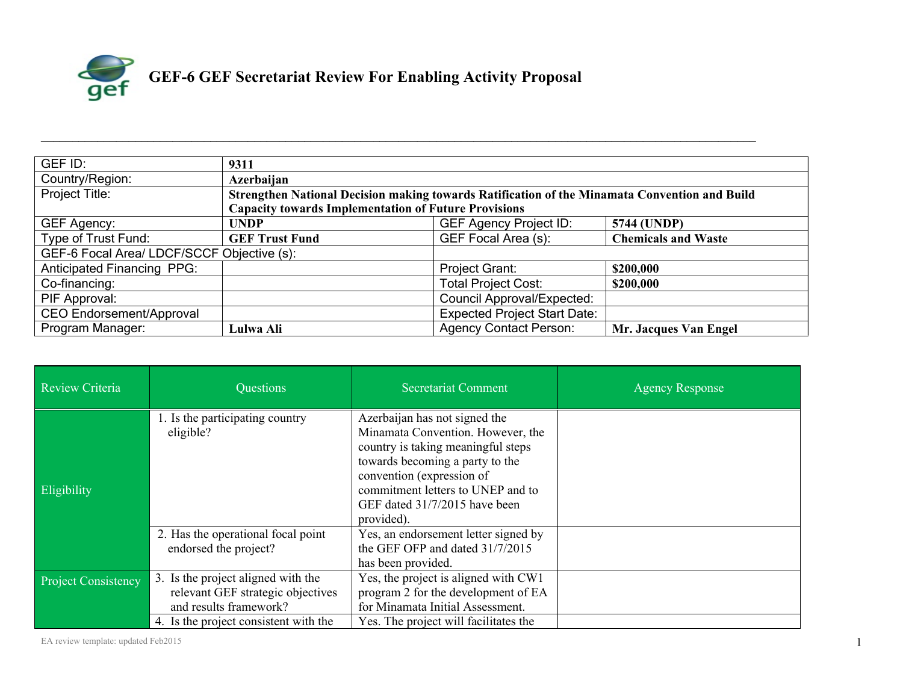

| GEF ID:                                    | 9311                                                                                          |                                     |                            |  |
|--------------------------------------------|-----------------------------------------------------------------------------------------------|-------------------------------------|----------------------------|--|
| Country/Region:                            | Azerbaijan                                                                                    |                                     |                            |  |
| Project Title:                             | Strengthen National Decision making towards Ratification of the Minamata Convention and Build |                                     |                            |  |
|                                            | <b>Capacity towards Implementation of Future Provisions</b>                                   |                                     |                            |  |
| GEF Agency:                                | <b>UNDP</b>                                                                                   | <b>GEF Agency Project ID:</b>       | 5744 (UNDP)                |  |
| Type of Trust Fund:                        | <b>GEF Trust Fund</b>                                                                         | GEF Focal Area (s):                 | <b>Chemicals and Waste</b> |  |
| GEF-6 Focal Area/ LDCF/SCCF Objective (s): |                                                                                               |                                     |                            |  |
| <b>Anticipated Financing PPG:</b>          |                                                                                               | Project Grant:                      | \$200,000                  |  |
| Co-financing:                              |                                                                                               | <b>Total Project Cost:</b>          | \$200,000                  |  |
| PIF Approval:                              |                                                                                               | <b>Council Approval/Expected:</b>   |                            |  |
| <b>CEO Endorsement/Approval</b>            |                                                                                               | <b>Expected Project Start Date:</b> |                            |  |
| Program Manager:                           | Lulwa Ali                                                                                     | <b>Agency Contact Person:</b>       | Mr. Jacques Van Engel      |  |

**\_\_\_\_\_\_\_\_\_\_\_\_\_\_\_\_\_\_\_\_\_\_\_\_\_\_\_\_\_\_\_\_\_\_\_\_\_\_\_\_\_\_\_\_\_\_\_\_\_\_\_\_\_\_\_\_\_\_\_\_\_\_\_\_\_\_\_\_\_\_\_\_\_\_\_\_\_\_\_\_\_\_\_\_\_\_\_\_\_\_\_\_\_\_\_\_\_\_\_\_\_\_\_\_\_\_\_\_\_\_\_\_\_\_**

| <b>Review Criteria</b>     | Questions                                                                                         | <b>Secretariat Comment</b>                                                                                                                                                                                                                                   | <b>Agency Response</b> |
|----------------------------|---------------------------------------------------------------------------------------------------|--------------------------------------------------------------------------------------------------------------------------------------------------------------------------------------------------------------------------------------------------------------|------------------------|
| Eligibility                | 1. Is the participating country<br>eligible?                                                      | Azerbaijan has not signed the<br>Minamata Convention. However, the<br>country is taking meaningful steps<br>towards becoming a party to the<br>convention (expression of<br>commitment letters to UNEP and to<br>GEF dated 31/7/2015 have been<br>provided). |                        |
|                            | 2. Has the operational focal point<br>endorsed the project?                                       | Yes, an endorsement letter signed by<br>the GEF OFP and dated 31/7/2015<br>has been provided.                                                                                                                                                                |                        |
| <b>Project Consistency</b> | 3. Is the project aligned with the<br>relevant GEF strategic objectives<br>and results framework? | Yes, the project is aligned with CW1<br>program 2 for the development of EA<br>for Minamata Initial Assessment.                                                                                                                                              |                        |
|                            | 4. Is the project consistent with the                                                             | Yes. The project will facilitates the                                                                                                                                                                                                                        |                        |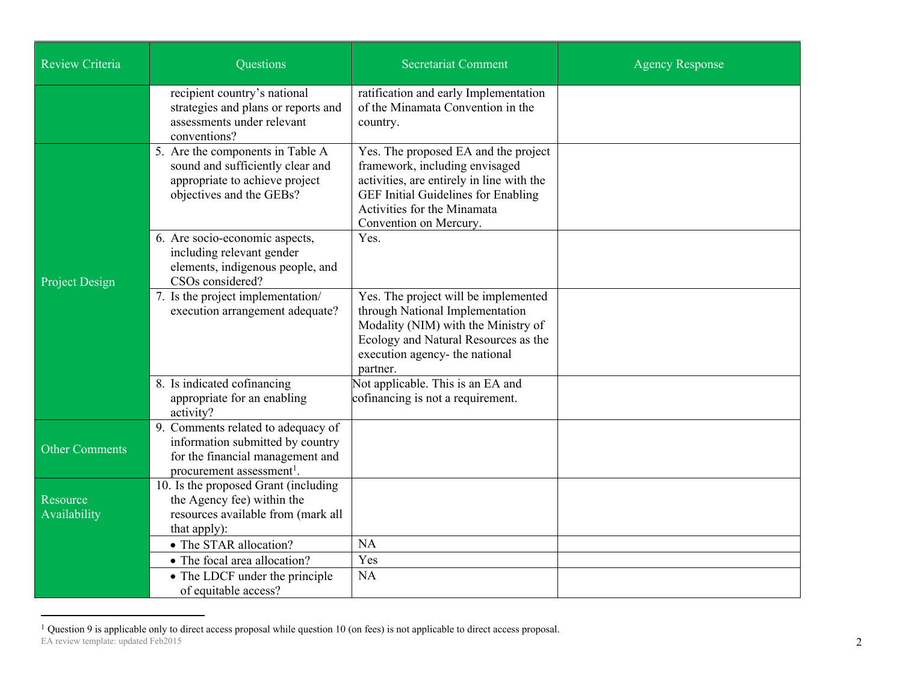| <b>Review Criteria</b>   | <b>Questions</b>                                                                                                                                    | <b>Secretariat Comment</b>                                                                                                                                                                                                 | <b>Agency Response</b> |
|--------------------------|-----------------------------------------------------------------------------------------------------------------------------------------------------|----------------------------------------------------------------------------------------------------------------------------------------------------------------------------------------------------------------------------|------------------------|
|                          | recipient country's national<br>strategies and plans or reports and<br>assessments under relevant<br>conventions?                                   | ratification and early Implementation<br>of the Minamata Convention in the<br>country.                                                                                                                                     |                        |
|                          | 5. Are the components in Table A<br>sound and sufficiently clear and<br>appropriate to achieve project<br>objectives and the GEBs?                  | Yes. The proposed EA and the project<br>framework, including envisaged<br>activities, are entirely in line with the<br><b>GEF Initial Guidelines for Enabling</b><br>Activities for the Minamata<br>Convention on Mercury. |                        |
| Project Design           | 6. Are socio-economic aspects,<br>including relevant gender<br>elements, indigenous people, and<br>CSOs considered?                                 | Yes.                                                                                                                                                                                                                       |                        |
|                          | 7. Is the project implementation/<br>execution arrangement adequate?                                                                                | Yes. The project will be implemented<br>through National Implementation<br>Modality (NIM) with the Ministry of<br>Ecology and Natural Resources as the<br>execution agency- the national<br>partner.                       |                        |
|                          | 8. Is indicated cofinancing<br>appropriate for an enabling<br>activity?                                                                             | Not applicable. This is an EA and<br>cofinancing is not a requirement.                                                                                                                                                     |                        |
| <b>Other Comments</b>    | 9. Comments related to adequacy of<br>information submitted by country<br>for the financial management and<br>procurement assessment <sup>1</sup> . |                                                                                                                                                                                                                            |                        |
| Resource<br>Availability | 10. Is the proposed Grant (including<br>the Agency fee) within the<br>resources available from (mark all<br>that apply):                            |                                                                                                                                                                                                                            |                        |
|                          | • The STAR allocation?                                                                                                                              | NA                                                                                                                                                                                                                         |                        |
|                          | • The focal area allocation?                                                                                                                        | Yes                                                                                                                                                                                                                        |                        |
|                          | • The LDCF under the principle<br>of equitable access?                                                                                              | <b>NA</b>                                                                                                                                                                                                                  |                        |

EA review template: updated Feb2015  $1$  Question 9 is applicable only to direct access proposal while question 10 (on fees) is not applicable to direct access proposal.